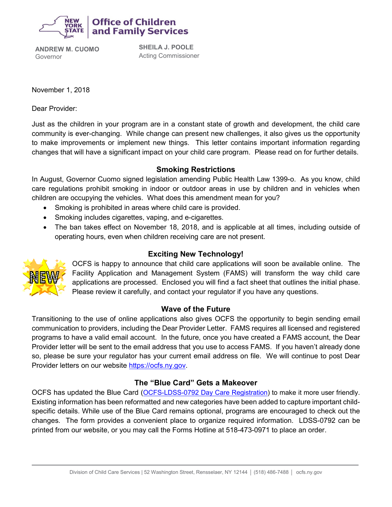

ce of Children and Family Services

**ANDREW M. CUOMO** Governor

**SHEILA J. POOLE** Acting Commissioner

November 1, 2018

Dear Provider:

Just as the children in your program are in a constant state of growth and development, the child care community is ever-changing. While change can present new challenges, it also gives us the opportunity to make improvements or implement new things. This letter contains important information regarding changes that will have a significant impact on your child care program. Please read on for further details.

## **Smoking Restrictions**

In August, Governor Cuomo signed legislation amending Public Health Law 1399-o. As you know, child care regulations prohibit smoking in indoor or outdoor areas in use by children and in vehicles when children are occupying the vehicles. What does this amendment mean for you?

- Smoking is prohibited in areas where child care is provided.
- Smoking includes cigarettes, vaping, and e-cigarettes.
- The ban takes effect on November 18, 2018, and is applicable at all times, including outside of operating hours, even when children receiving care are not present.



OCFS is happy to announce that child care applications will soon be available online. The Facility Application and Management System (FAMS) will transform the way child care applications are processed. Enclosed you will find a fact sheet that outlines the initial phase. Please review it carefully, and contact your regulator if you have any questions.

# **Wave of the Future**

Transitioning to the use of online applications also gives OCFS the opportunity to begin sending email communication to providers, including the Dear Provider Letter. FAMS requires all licensed and registered programs to have a valid email account. In the future, once you have created a FAMS account, the Dear Provider letter will be sent to the email address that you use to access FAMS. If you haven't already done so, please be sure your regulator has your current email address on file. We will continue to post Dear Provider letters on our website [https://ocfs.ny.gov.](https://ocfs.ny.gov/)

# **The "Blue Card" Gets a Makeover**

OCFS has updated the Blue Card ([OCFS-LDSS-0792 Day Care Registration\)](https://ocfs.ny.gov/main/Forms/Day_Care/OCFS-LDSS-0792.docx) to make it more user friendly. Existing information has been reformatted and new categories have been added to capture important childspecific details. While use of the Blue Card remains optional, programs are encouraged to check out the changes. The form provides a convenient place to organize required information. LDSS-0792 can be printed from our website, or you may call the Forms Hotline at 518-473-0971 to place an order.